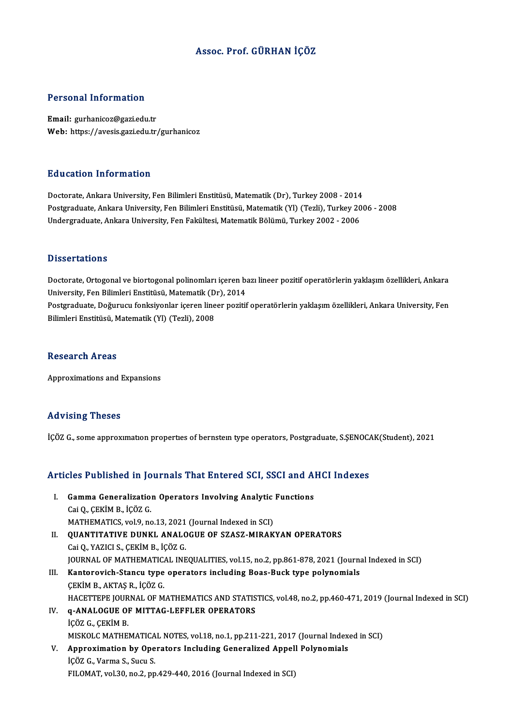### Assoc. Prof. GÜRHAN İÇÖZ

### Personal Information

Email: gurhanicoz@gazi.edu.tr Web: https://avesis.gazi.edu.tr/gurhanicoz

### Education Information

Doctorate, Ankara University, Fen Bilimleri Enstitüsü, Matematik (Dr), Turkey 2008 - 2014 Postgraduate, Ankara University, Fen Bilimleri Enstitüsü, Matematik (Yl) (Tezli), Turkey 2006 - 2008 Undergraduate, Ankara University, Fen Fakültesi, Matematik Bölümü, Turkey 2002 - 2006

### **Dissertations**

Doctorate, Ortogonal ve biortogonal polinomları içeren bazı lineer pozitif operatörlerin yaklaşım özellikleri, Ankara University, Fen Bilimleri Enstitüsü, Matematik (Dr), 2014 Doctorate, Ortogonal ve biortogonal polinomları içeren bazı lineer pozitif operatörlerin yaklaşım özellikleri, Ankara<br>University, Fen Bilimleri Enstitüsü, Matematik (Dr), 2014<br>Postgraduate, Doğurucu fonksiyonlar içeren lin University, Fen Bilimleri Enstitüsü, Matematik (D<br>Postgraduate, Doğurucu fonksiyonlar içeren line<br>Bilimleri Enstitüsü, Matematik (Yl) (Tezli), 2008 Bilimleri Enstitüsü, Matematik (Yl) (Tezli), 2008<br>Research Areas

Approximations and Expansions

### Advising Theses

İÇÖZ G., some approximation properties of bernstein type operators, Postgraduate, S.ŞENOCAK(Student), 2021

# içoz G., some approximation properties or bernstein type operators, Postgraduate, S.ŞENOC.<br>Articles Published in Journals That Entered SCI, SSCI and AHCI Indexes

rticles Published in Journals That Entered SCI, SSCI and Al<br>I. Gamma Generalization Operators Involving Analytic Functions<br>Cei O. CEVIM B. JCÖZ C CAES 1 denoncu m je<br>Gamma Generalizatio:<br>Cai Q., ÇEKİM B., İÇÖZ G.<br>MATHEMATICS. vol 9. no Gamma Generalization Operators Involving Analytic<br>Cai Q., ÇEKİM B., İÇÖZ G.<br>MATHEMATICS, vol.9, no.13, 2021 (Journal Indexed in SCI)<br>QUANTITATIVE DUNKL ANALOCUE OF SZASZ MIRAK Cai Q., ÇEKİM B., İÇÖZ G.<br>MATHEMATICS, vol.9, no.13, 2021 (Journal Indexed in SCI)<br>II. QUANTITATIVE DUNKL ANALOGUE OF SZASZ-MIRAKYAN OPERATORS<br>Cai Q., YAZICI S., ÇEKİM B., İÇÖZ G. MATHEMATICS, vol.9, no.13, 2021 (Journal Indexed in SCI) QUANTITATIVE DUNKL ANALOGUE OF SZASZ-MIRAKYAN OPERATORS<br>Cai Q., YAZICI S., ÇEKİM B., İÇÖZ G.<br>JOURNAL OF MATHEMATICAL INEQUALITIES, vol.15, no.2, pp.861-878, 2021 (Journal Indexed in SCI)<br>Kanterevish Staney tune energters i Cai Q., YAZICI S., ÇEKİM B., İÇÖZ G.<br>JOURNAL OF MATHEMATICAL INEQUALITIES, vol.15, no.2, pp.861-878, 2021 (Journa<br>III. Kantorovich-Stancu type operators including Boas-Buck type polynomials<br>CEVIM B. AKTAS B. İÇÖZ C JOURNAL OF MATHEMATIC<mark>.</mark><br>Kantorovich-Stancu type<br>ÇEKİM B., AKTAŞ R., İÇÖZ G.<br>HACETTEPE JOUPNAL OF M Kantorovich-Stancu type operators including Boas-Buck type polynomials<br>ÇEKİM B., AKTAŞ R., İÇÖZ G.<br>HACETTEPE JOURNAL OF MATHEMATICS AND STATISTICS, vol.48, no.2, pp.460-471, 2019 (Journal Indexed in SCI)<br>9. ANALOCUE OF MIT CEKÍM B., AKTAŞ R., İÇÖZ G.<br>HACETTEPE JOURNAL OF MATHEMATICS AND STATIS<br>IV. **q-ANALOGUE OF MITTAG-LEFFLER OPERATORS** HACETTEPE JOUR<br>q-ANALOGUE OI<br>İÇÖZ G., ÇEKİM B.<br>MISVOLC MATHEI q-ANALOGUE OF MITTAG-LEFFLER OPERATORS<br>İÇÖZ G., ÇEKİM B.<br>MISKOLC MATHEMATICAL NOTES, vol.18, no.1, pp.211-221, 2017 (Journal Indexed in SCI)<br>Annusujmation by Operators Insluding Consuelized Annell Polynomials içöz G., ÇEKİM B.<br>MISKOLC MATHEMATICAL NOTES, vol.18, no.1, pp.211-221, 2017 (Journal Index<br>V. Approximation by Operators Including Generalized Appell Polynomials<br>icöz C. Verme S. Sugu S. MISKOLC MATHEMATICA<br>Approximation by Ope<br>İÇÖZ G., Varma S., Sucu S.<br>EU OMAT vol 30 no 3 nn V. Approximation by Operators Including Generalized Appell Polynomials<br>iÇÖZ G., Varma S., Sucu S.<br>FILOMAT, vol.30, no.2, pp.429-440, 2016 (Journal Indexed in SCI)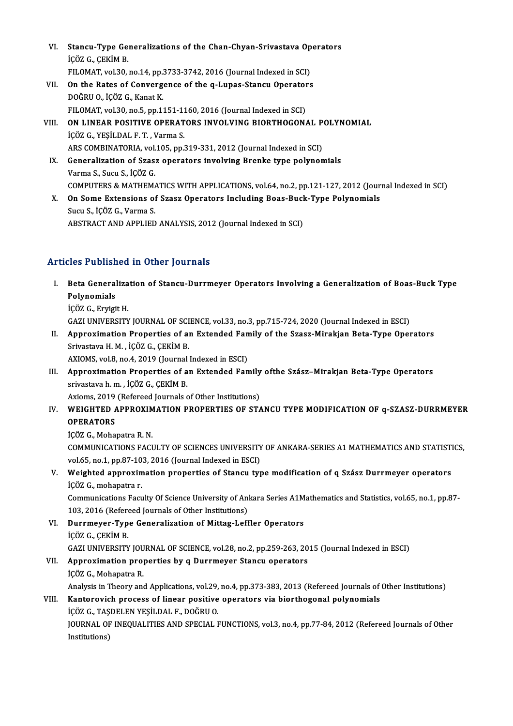- VI. Stancu-Type Generalizations of the Chan-Chyan-Srivastava Operators **Stancu-Type Ge:**<br>İÇÖZ G., ÇEKİM B.<br>EU QMAT vel 30 Stancu-Type Generalizations of the Chan-Chyan-Srivastava Op<br>İÇÖZ G., ÇEKİM B.<br>FILOMAT, vol.30, no.14, pp.3733-3742, 2016 (Journal Indexed in SCI)<br>On the Pates of Conventence of the a Lunes Stancy Operators içöz G., ÇEKİM B.<br>FILOMAT, vol.30, no.14, pp.3733-3742, 2016 (Journal Indexed in SCI)<br>VII. On the Rates of Convergence of the q-Lupas-Stancu Operators<br>DOČPHO, İSÖZ G. Kanat K.
- FILOMAT, vol.30, no.14, pp.3733-3742, 2016 (Journal Indexed in SCI)<br>On the Rates of Convergence of the q-Lupas-Stancu Operator:<br>DOĞRU O., İÇÖZ G., Kanat K.<br>FILOMAT, vol.30, no.5, pp.1151-1160, 2016 (Journal Indexed in SCI) On the Rates of Convergence of the q-Lupas-Stancu Operator<br>DOĞRU O., İÇÖZ G., Kanat K.<br>FILOMAT, vol.30, no.5, pp.1151-1160, 2016 (Journal Indexed in SCI)<br>ON LINEAR ROSITIVE ORERATORS INVOLVING RIORTHOGON DOĞRU O., İÇÖZ G., Kanat K.<br>FILOMAT, vol.30, no.5, pp.1151-1160, 2016 (Journal Indexed in SCI)<br>VIII. — ON LINEAR POSITIVE OPERATORS INVOLVING BIORTHOGONAL POLYNOMIAL<br>LICÖZ G. YESİLDAL E.T. Varma S.
- FILOMAT, vol.30, no.5, pp.1151-11<br>**ON LINEAR POSITIVE OPERAT**<br>İÇÖZ G., YEŞİLDAL F.T. , Varma S.<br>ARS COMBINATORIA .vol.105, np.1 ON LINEAR POSITIVE OPERATORS INVOLVING BIORTHOGONAL P<br>İÇÖZ G., YEŞİLDAL F. T. , Varma S.<br>ARS COMBINATORIA, vol.105, pp.319-331, 2012 (Journal Indexed in SCI)<br>Conoralization of Szasz operators involving Branke type polynon IÇÖZ G., YEŞİLDAL F. T. , Varma S.<br>ARS COMBINATORIA, vol.105, pp.319-331, 2012 (Journal Indexed in SCI)<br>IX. Generalization of Szasz operators involving Brenke type polynomials<br>Varma S., Sucu S., İÇÖZ G.
- ARS COMBINATORIA, vol.<br>Generalization of Szas:<br>Varma S., Sucu S., İÇÖZ G.<br>COMBUTERS & MATUEM COMPUTERS&MATHEMATICSWITHAPPLICATIONS,vol.64,no.2,pp.121-127,2012 (Journal Indexed inSCI) Varma S., Sucu S., İÇÖZ G.<br>COMPUTERS & MATHEMATICS WITH APPLICATIONS, vol.64, no.2, pp.121-127, 2012 (Jour<br>X. On Some Extensions of Szasz Operators Including Boas-Buck-Type Polynomials<br>Sugu S. İÇÖZ C. Varma S.
- COMPUTERS & MATHEMA<br>**On Some Extensions of**<br>Sucu S., İÇÖZ G., Varma S.<br>ARSTRACT AND ARRI IED Sucu S., İÇÖZ G., Varma S.<br>ABSTRACT AND APPLIED ANALYSIS, 2012 (Journal Indexed in SCI)

### Articles Published in Other Journals

- rticles Published in Other Journals<br>I. Beta Generalization of Stancu-Durrmeyer Operators Involving a Generalization of Boas-Buck Type<br>Relynemials nos 1 abhon<br>Beta General<br>Polynomials<br>iCÖZ C. Ervisi Beta Generaliza<br>Polynomials<br>İÇÖZ G., Eryigit H.<br>CAZI UNIVERSITY Polynomials<br>İÇÖZ G., Eryigit H.<br>GAZI UNIVERSITY JOURNAL OF SCIENCE, vol.33, no.3, pp.715-724, 2020 (Journal Indexed in ESCI)
	-

IÇÖZ G., Eryigit H.<br>GAZI UNIVERSITY JOURNAL OF SCIENCE, vol.33, no.3, pp.715-724, 2020 (Journal Indexed in ESCI)<br>II. Approximation Properties of an Extended Family of the Szasz-Mirakjan Beta-Type Operators<br>Srivastava H.M. GAZI UNIVERSITY JOURNAL OF SCI<br>Approximation Properties of a<br>Srivastava H.M., İÇÖZ G., ÇEKİM B.<br>AYJOMS. vol 9. no.4.2019 (Journal) Approximation Properties of an Extended Fan<br>Srivastava H. M., İÇÖZ G., ÇEKİM B.<br>AXIOMS, vol.8, no.4, 2019 (Journal Indexed in ESCI)<br>Annrovimation Properties of an Extended Fan

Srivastava H. M., İÇÖZ G., ÇEKİM B.<br>AXIOMS, vol.8, no.4, 2019 (Journal Indexed in ESCI)<br>III. Approximation Properties of an Extended Family ofthe Szász–Mirakjan Beta-Type Operators<br>cuivastave b.m. İSÖZ G. CEKİM B. AXIOMS, vol.8, no.4, 2019 (Journal<br>Approximation Properties of a<br>srivastava h.m. , İÇÖZ G., ÇEKİM B.<br>Aviems 2019 (Pefereed Journals e Approximation Properties of an Extended Family<br>srivastava h. m. , İÇÖZ G., ÇEKİM B.<br>Axioms, 2019 (Refereed Journals of Other Institutions)<br>WEICHTED APPROXIMATION PROPERTIES OF STA

### srivastava h. m. , İÇÖZ G., ÇEKİM B.<br>Axioms, 2019 (Refereed Journals of Other Institutions)<br>IV. WEIGHTED APPROXIMATION PROPERTIES OF STANCU TYPE MODIFICATION OF q-SZASZ-DURRMEYER<br>OPERATORS Axioms, 2019<br>WEIGHTED A<br>OPERATORS **WEIGHTED APPROXIM<br>OPERATORS<br>İÇÖZ G., Mohapatra R. N.<br>COMMUNICATIONS FACI**

OPERATORS<br>İÇÖZ G., Mohapatra R. N.<br>COMMUNICATIONS FACULTY OF SCIENCES UNIVERSITY OF ANKARA-SERIES A1 MATHEMATICS AND STATISTICS,<br>VRİ.65, no.1, np.97,103,2016 (Journal Indoved in ESCI) içöz G., Mohapatra R. N.<br>COMMUNICATIONS FACULTY OF SCIENCES UNIVERSITY<br>vol.65, no.1, pp.87-103, 2016 (Journal Indexed in ESCI)<br>Weishted annoyimation properties of Stansy typ COMMUNICATIONS FACULTY OF SCIENCES UNIVERSITY OF ANKARA-SERIES A1 MATHEMATICS AND STATISTI<br>vol.65, no.1, pp.87-103, 2016 (Journal Indexed in ESCI)<br>V. Weighted approximation properties of Stancu type modification of q Szász

vol.65, no.1, pp.87-10<br>Weighted approxim<br>İÇÖZ G., mohapatra r.<br>Communisations Fosu Weighted approximation properties of Stancu type modification of q Szász Durrmeyer operators<br>İÇÖZ G., mohapatra r.<br>Communications Faculty Of Science University of Ankara Series A1Mathematics and Statistics, vol.65, no.1, p

İÇÖZ G., mohapatra r.<br>Communications Faculty Of Science University of Ankara Series A1Mathematics and Statistics, vol.65, no.1, pp.87<br>103, 2016 (Refereed Journals of Other Institutions) Communications Faculty Of Science University of Ankara Series A1M<br>103, 2016 (Refereed Journals of Other Institutions)<br>VI. Durrmeyer-Type Generalization of Mittag-Leffler Operators<br>ICÖZ C. CEVIM P

- 103, 2016 (Referender)<br>**Durrmeyer-Typ<br>İÇÖZ G., ÇEKİM B.**<br>CAZI UNIVERSITY İÇÖZ G., ÇEKİM B.<br>GAZI UNIVERSITY JOURNAL OF SCIENCE, vol.28, no.2, pp.259-263, 2015 (Journal Indexed in ESCI) içöz G., çEKİM B.<br>GAZI UNIVERSITY JOURNAL OF SCIENCE, vol.28, no.2, pp.259-263, 20<br>VII. Approximation properties by q Durrmeyer Stancu operators<br>icöz C. Mohanatra B.
- GAZI UNIVERSITY JOU<br>**Approximation proj**<br>İÇÖZ G., Mohapatra R.<br>Apolizis in Theory one Approximation properties by q Durrmeyer Stancu operators<br>İÇÖZ G., Mohapatra R.<br>Analysis in Theory and Applications, vol.29, no.4, pp.373-383, 2013 (Refereed Journals of Other Institutions)<br>Kantonovish prosess of linear pos iÇÖZ G., Mohapatra R.<br>Analysis in Theory and Applications, vol.29, no.4, pp.373-383, 2013 (Refereed Journals of<br>VIII. Kantorovich process of linear positive operators via biorthogonal polynomials<br>iÇÖZ G., TAŞDELEN YEŞİLDAL
- 
- Analysis in Theory and Applications, vol.29,<br>**Kantorovich process of linear positive<br>İÇÖZ G., TAŞDELEN YEŞİLDAL F., DOĞRU O.**<br>JOUPNAL OE INEQUALITIES AND SPECIAL E Kantorovich process of linear positive operators via biorthogonal polynomials<br>İÇÖZ G., TAŞDELEN YEŞİLDAL F., DOĞRU O.<br>JOURNAL OF INEQUALITIES AND SPECIAL FUNCTIONS, vol.3, no.4, pp.77-84, 2012 (Refereed Journals of Other<br>I İÇÖZ G., TAŞI<br>JOURNAL OF<br>Institutions)